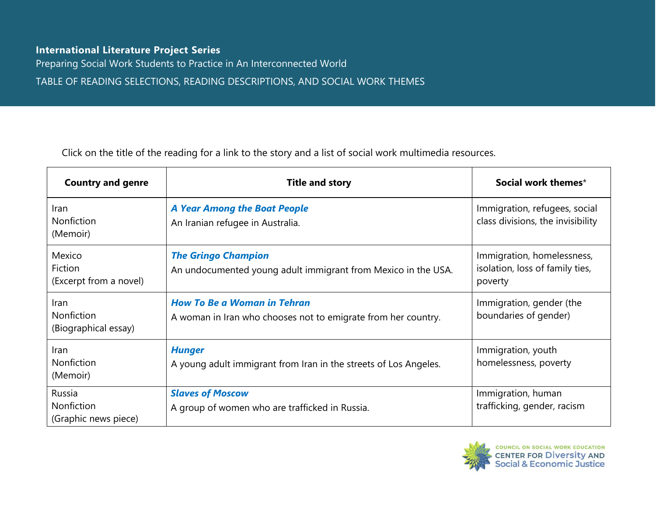## **International Literature Project Series**

Preparing Social Work Students to Practice in An Interconnected World

TABLE OF READING SELECTIONS, READING DESCRIPTIONS, AND SOCIAL WORK THEMES

Click on the title of the reading for a link to the story and a list of social work multimedia resources.

| <b>Country and genre</b>                          | <b>Title and story</b>                                                                              | Social work themes*                                                      |
|---------------------------------------------------|-----------------------------------------------------------------------------------------------------|--------------------------------------------------------------------------|
| <b>Iran</b><br>Nonfiction<br>(Memoir)             | <b>A Year Among the Boat People</b><br>An Iranian refugee in Australia.                             | Immigration, refugees, social<br>class divisions, the invisibility       |
| Mexico<br>Fiction<br>(Excerpt from a novel)       | <b>The Gringo Champion</b><br>An undocumented young adult immigrant from Mexico in the USA.         | Immigration, homelessness,<br>isolation, loss of family ties,<br>poverty |
| Iran<br><b>Nonfiction</b><br>(Biographical essay) | <b>How To Be a Woman in Tehran</b><br>A woman in Iran who chooses not to emigrate from her country. | Immigration, gender (the<br>boundaries of gender)                        |
| Iran<br>Nonfiction<br>(Memoir)                    | <b>Hunger</b><br>A young adult immigrant from Iran in the streets of Los Angeles.                   | Immigration, youth<br>homelessness, poverty                              |
| Russia<br>Nonfiction<br>(Graphic news piece)      | <b>Slaves of Moscow</b><br>A group of women who are trafficked in Russia.                           | Immigration, human<br>trafficking, gender, racism                        |

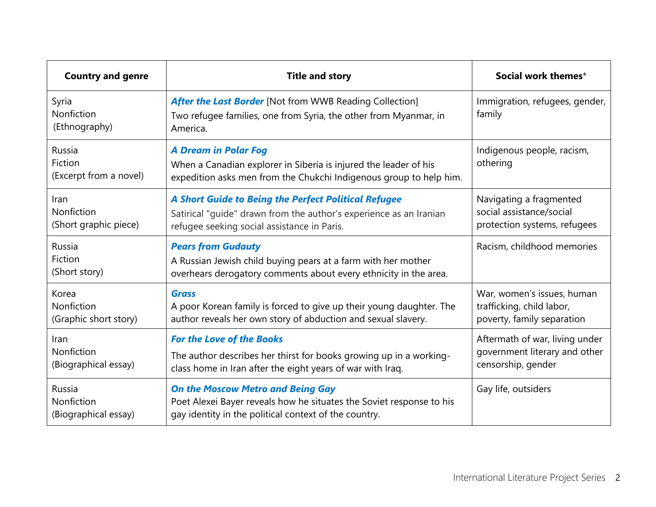| <b>Country and genre</b>                     | <b>Title and story</b>                                                                                                                                                    | Social work themes*                                                                   |
|----------------------------------------------|---------------------------------------------------------------------------------------------------------------------------------------------------------------------------|---------------------------------------------------------------------------------------|
| Syria<br>Nonfiction<br>(Ethnography)         | <b>After the Last Border</b> [Not from WWB Reading Collection]<br>Two refugee families, one from Syria, the other from Myanmar, in<br>America.                            | Immigration, refugees, gender,<br>family                                              |
| Russia<br>Fiction<br>(Excerpt from a novel)  | <b>A Dream in Polar Fog</b><br>When a Canadian explorer in Siberia is injured the leader of his<br>expedition asks men from the Chukchi Indigenous group to help him.     | Indigenous people, racism,<br>othering                                                |
| Iran<br>Nonfiction<br>(Short graphic piece)  | A Short Guide to Being the Perfect Political Refugee<br>Satirical "guide" drawn from the author's experience as an Iranian<br>refugee seeking social assistance in Paris. | Navigating a fragmented<br>social assistance/social<br>protection systems, refugees   |
| Russia<br>Fiction<br>(Short story)           | <b>Pears from Gudauty</b><br>A Russian Jewish child buying pears at a farm with her mother<br>overhears derogatory comments about every ethnicity in the area.            | Racism, childhood memories                                                            |
| Korea<br>Nonfiction<br>(Graphic short story) | <b>Grass</b><br>A poor Korean family is forced to give up their young daughter. The<br>author reveals her own story of abduction and sexual slavery.                      | War, women's issues, human<br>trafficking, child labor,<br>poverty, family separation |
| Iran<br>Nonfiction<br>(Biographical essay)   | <b>For the Love of the Books</b><br>The author describes her thirst for books growing up in a working-<br>class home in Iran after the eight years of war with Iraq.      | Aftermath of war, living under<br>government literary and other<br>censorship, gender |
| Russia<br>Nonfiction<br>(Biographical essay) | <b>On the Moscow Metro and Being Gay</b><br>Poet Alexei Bayer reveals how he situates the Soviet response to his<br>gay identity in the political context of the country. | Gay life, outsiders                                                                   |